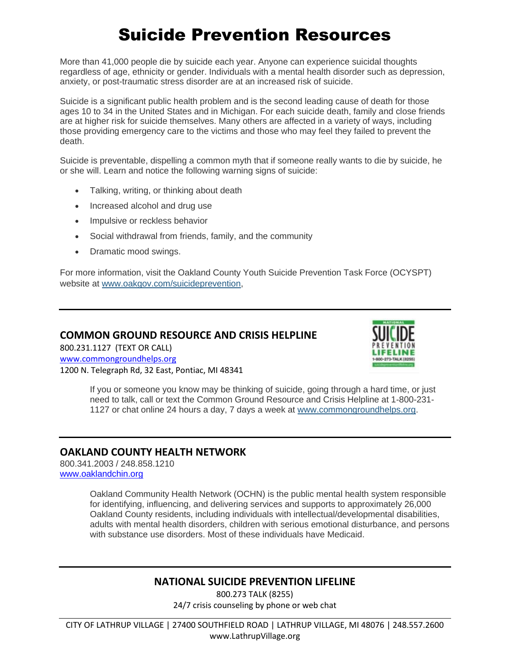# Suicide Prevention Resources

More than 41,000 people die by suicide each year. Anyone can experience suicidal thoughts regardless of age, ethnicity or gender. Individuals with a mental health disorder such as depression, anxiety, or post-traumatic stress disorder are at an increased risk of suicide.

Suicide is a significant public health problem and is the second leading cause of death for those ages 10 to 34 in the United States and in Michigan. For each suicide death, family and close friends are at higher risk for suicide themselves. Many others are affected in a variety of ways, including those providing emergency care to the victims and those who may feel they failed to prevent the death.

Suicide is preventable, dispelling a common myth that if someone really wants to die by suicide, he or she will. Learn and notice the following warning signs of suicide:

- Talking, writing, or thinking about death
- Increased alcohol and drug use
- Impulsive or reckless behavior
- Social withdrawal from friends, family, and the community
- Dramatic mood swings.

For more information, visit the Oakland County Youth Suicide Prevention Task Force (OCYSPT) website at [www.oakgov.com/suicideprevention,](http://links.govdelivery.com/track?type=click&enid=ZWFzPTEmbWFpbGluZ2lkPTIwMTgwODMxLjk0MzIyMDcxJm1lc3NhZ2VpZD1NREItUFJELUJVTC0yMDE4MDgzMS45NDMyMjA3MSZkYXRhYmFzZWlkPTEwMDEmc2VyaWFsPTE3MzcxODQ0JmVtYWlsaWQ9c21pdGNoZWxsQGxhdGhydXB2aWxsYWdlLm9yZyZ1c2VyaWQ9c21pdGNoZWxsQGxhdGhydXB2aWxsYWdlLm9yZyZmbD0mZXh0cmE9TXVsdGl2YXJpYXRlSWQ9JiYm&&&100&&&http://www.oakgov.com/suicideprevention)

#### **COMMON GROUND RESOURCE AND CRISIS HELPLINE**

800.231.1127 (TEXT OR CALL) [www.commongroundhelps.org](http://www.commongroundhelps.org/) 1200 N. Telegraph Rd, 32 East, Pontiac, MI 48341



If you or someone you know may be thinking of suicide, going through a hard time, or just need to talk, call or text the Common Ground Resource and Crisis Helpline at 1-800-231- 1127 or chat online 24 hours a day, 7 days a week at [www.commongroundhelps.org.](http://links.govdelivery.com/track?type=click&enid=ZWFzPTEmbWFpbGluZ2lkPTIwMTgwODMxLjk0MzIyMDcxJm1lc3NhZ2VpZD1NREItUFJELUJVTC0yMDE4MDgzMS45NDMyMjA3MSZkYXRhYmFzZWlkPTEwMDEmc2VyaWFsPTE3MzcxODQ0JmVtYWlsaWQ9c21pdGNoZWxsQGxhdGhydXB2aWxsYWdlLm9yZyZ1c2VyaWQ9c21pdGNoZWxsQGxhdGhydXB2aWxsYWdlLm9yZyZmbD0mZXh0cmE9TXVsdGl2YXJpYXRlSWQ9JiYm&&&103&&&http://www.commongroundhelps.org/)

#### **OAKLAND COUNTY HEALTH NETWORK**

800.341.2003 / 248.858.1210 [www.oaklandchin.org](http://www.oaklandchin.org/)

> Oakland Community Health Network (OCHN) is the public mental health system responsible for identifying, influencing, and delivering services and supports to approximately 26,000 Oakland County residents, including individuals with intellectual/developmental disabilities, adults with mental health disorders, children with serious emotional disturbance, and persons with substance use disorders. Most of these individuals have Medicaid.

# **NATIONAL SUICIDE PREVENTION LIFELINE**

800.273 TALK (8255) 24/7 crisis counseling by phone or web chat

CITY OF LATHRUP VILLAGE | 27400 SOUTHFIELD ROAD | LATHRUP VILLAGE, MI 48076 | 248.557.2600 www.LathrupVillage.org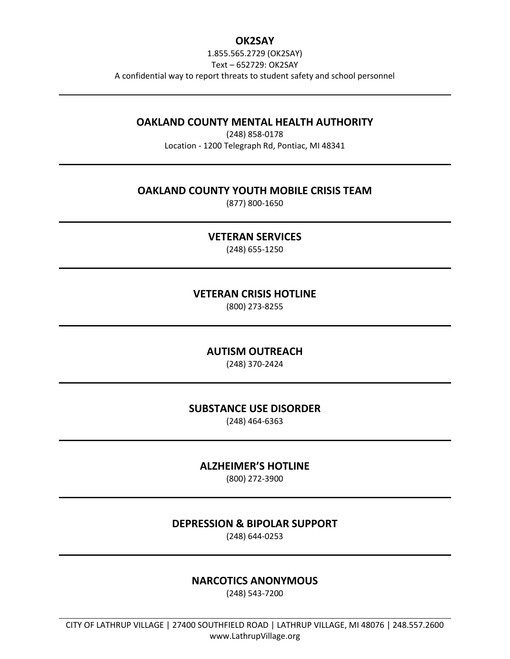## **OK2SAY**

1.855.565.2729 (OK2SAY) Text – 652729: OK2SAY A confidential way to report threats to student safety and school personnel

#### **OAKLAND COUNTY MENTAL HEALTH AUTHORITY**

(248) 858-0178 Location - 1200 Telegraph Rd, Pontiac, MI 48341

#### **OAKLAND COUNTY YOUTH MOBILE CRISIS TEAM**

(877) 800-1650

## **VETERAN SERVICES**

(248) 655-1250

## **VETERAN CRISIS HOTLINE**

(800) 273-8255

# **AUTISM OUTREACH**

(248) 370-2424

#### **SUBSTANCE USE DISORDER**

(248) 464-6363

# **ALZHEIMER'S HOTLINE**

(800) 272-3900

#### **DEPRESSION & BIPOLAR SUPPORT**

(248) 644-0253

# **NARCOTICS ANONYMOUS**

(248) 543-7200

CITY OF LATHRUP VILLAGE | 27400 SOUTHFIELD ROAD | LATHRUP VILLAGE, MI 48076 | 248.557.2600 www.LathrupVillage.org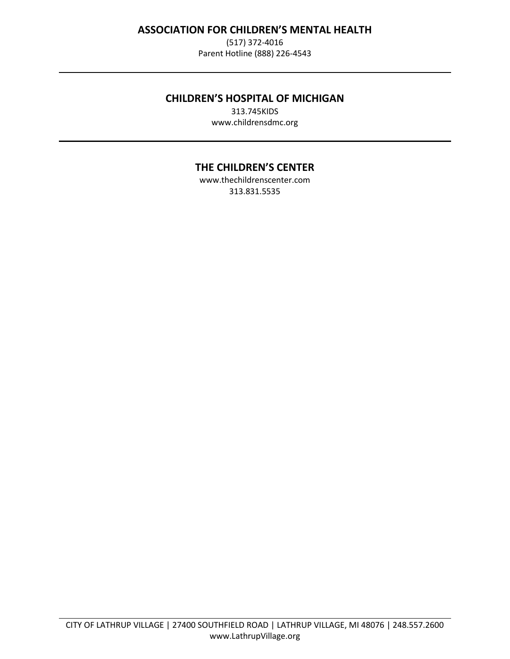# **ASSOCIATION FOR CHILDREN'S MENTAL HEALTH**

(517) 372-4016 Parent Hotline (888) 226-4543

## **CHILDREN'S HOSPITAL OF MICHIGAN**

313.745KIDS www.childrensdmc.org

# **THE CHILDREN'S CENTER**

[www.thechildrenscenter.com](http://www.thechildrenscenter.com/) 313.831.5535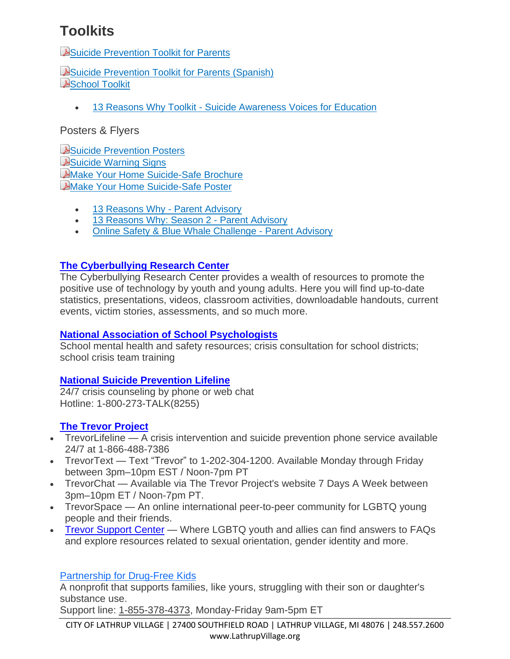# **Toolkits**

**A[Suicide Prevention Toolkit for Parents](https://www.oakgov.com/health/Documents/Parent%20Toolkit-web%20version.pdf)** 

A[Suicide Prevention Toolkit for Parents \(Spanish\)](https://www.oakgov.com/health/Documents/Spanish_Parent%20Toolkit%20-web%20version%20(002).pdf) **A[School Toolkit](https://www.oakgov.com/health/partnerships/Documents/Toolkit%20Electronic%20Copy.pdf)** 

• 13 Reasons Why Toolkit - [Suicide Awareness Voices for Education](https://www.13reasonswhytoolkit.org/)

# Posters & Flyers

[Suicide Prevention Posters](https://www.oakgov.com/health/partnerships/Documents/Oakland%20County%20Health%20Division%20Posters%202013%20letter.pdf) A[Suicide Warning Signs](https://www.oakgov.com/health/partnerships/Documents/warningsigns.pdf) **A[Make Your Home Suicide-Safe Brochure](https://www.oakgov.com/health/partnerships/Documents/suicide%20safe.pdf) A[Make Your Home Suicide-Safe Poster](https://www.oakgov.com/health/partnerships/Documents/suicide%20safe%20poster.pdf)** 

- [13 Reasons Why -](https://content.govdelivery.com/accounts/MIOAKL/bulletins/1953a3e?reqfrom=share) Parent Advisory
- [13 Reasons Why: Season 2 -](https://content.govdelivery.com/accounts/MIOAKL/bulletins/1f08e10?reqfrom=share) Parent Advisory
- [Online Safety & Blue Whale Challenge -](https://content.govdelivery.com/accounts/MIOAKL/bulletins/1ab5b76?reqfrom=share) Parent Advisory

# **[The Cyberbullying Research Center](https://cyberbullying.org/)**

The Cyberbullying Research Center provides a wealth of resources to promote the positive use of technology by youth and young adults. Here you will find up-to-date statistics, presentations, videos, classroom activities, downloadable handouts, current events, victim stories, assessments, and so much more.

# **National Association of School [Psychologists](http://www.nasponline.org/)**

School mental health and safety resources; crisis consultation for school districts; school crisis team training

# **National Suicide [Prevention](http://suicidepreventionlifeline.org/) Lifeline**

24/7 crisis counseling by phone or web chat Hotline: 1-800-273-TALK(8255)

# **The Trevor [Project](https://www.thetrevorproject.org/#sm.0000fvtziggw3f7x106diqkqx9tob)**

- TrevorLifeline A crisis intervention and suicide prevention phone service available 24/7 at 1-866-488-7386
- TrevorText Text "Trevor" to 1-202-304-1200. Available Monday through Friday between 3pm–10pm EST / Noon-7pm PT
- TrevorChat Available via The Trevor Project's website 7 Days A Week between 3pm–10pm ET / Noon-7pm PT.
- TrevorSpace An online international peer-to-peer community for LGBTQ young people and their friends.
- Trevor [Support](https://www.thetrevorproject.org/resources/trevor-support-center/#sm.0000fvtziggw3f7x106diqkqx9tob) Center Where LGBTQ youth and allies can find answers to FAQs and explore resources related to sexual orientation, gender identity and more.

# [Partnership](https://drugfree.org/) for Drug-Free Kids

A nonprofit that supports families, like yours, struggling with their son or daughter's substance use.

Support line: 1-855-378-4373, Monday-Friday 9am-5pm ET

CITY OF LATHRUP VILLAGE | 27400 SOUTHFIELD ROAD | LATHRUP VILLAGE, MI 48076 | 248.557.2600 www.LathrupVillage.org